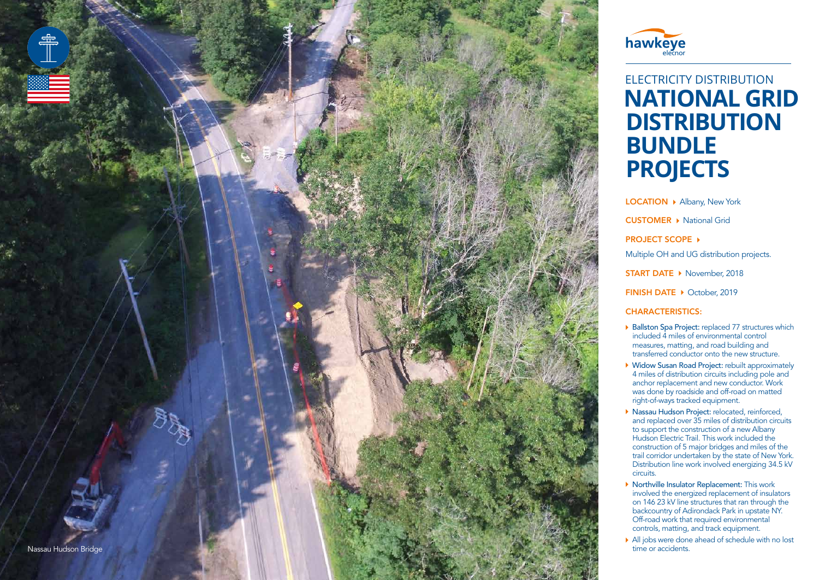



## ELECTRICITY DISTRIBUTION **NATIONAL GRID DISTRIBUTION BUNDLE PROJECTS**

LOCATION > Albany, New York CUSTOMER ▶ National Grid  $PROJECT SCOPE$   $\rightarrow$ Multiple OH and UG distribution projects. START DATE ▶ November, 2018 FINISH DATE DCtober, 2019

## CHARACTERISTICS :

- $\triangleright$  Ballston Spa Project: replaced 77 structures which included 4 miles of environmental control measures, matting, and road building and transferred conductor onto the new structure.
- ▶ Widow Susan Road Project: rebuilt approximately 4 miles of distribution circuits including pole and anchor replacement and new conductor. Work was done by roadside and off-road on matted right-of-ways tracked equipment.
- **Nassau Hudson Project:** relocated, reinforced, and replaced over 35 miles of distribution circuits to support the construction of a new Albany Hudson Electric Trail. This work included the construction of 5 major bridges and miles of the trail corridor undertaken by the state of New York. Distribution line work involved energizing 34.5 kV circuits.
- $\triangleright$  Northville Insulator Replacement: This work involved the energized replacement of insulators on 146 23 kV line structures that ran through the backcountry of Adirondack Park in upstate NY. Off-road work that required environmental controls, matting, and track equipment.
- $\blacktriangleright$  All jobs were done ahead of schedule with no lost time or accidents.